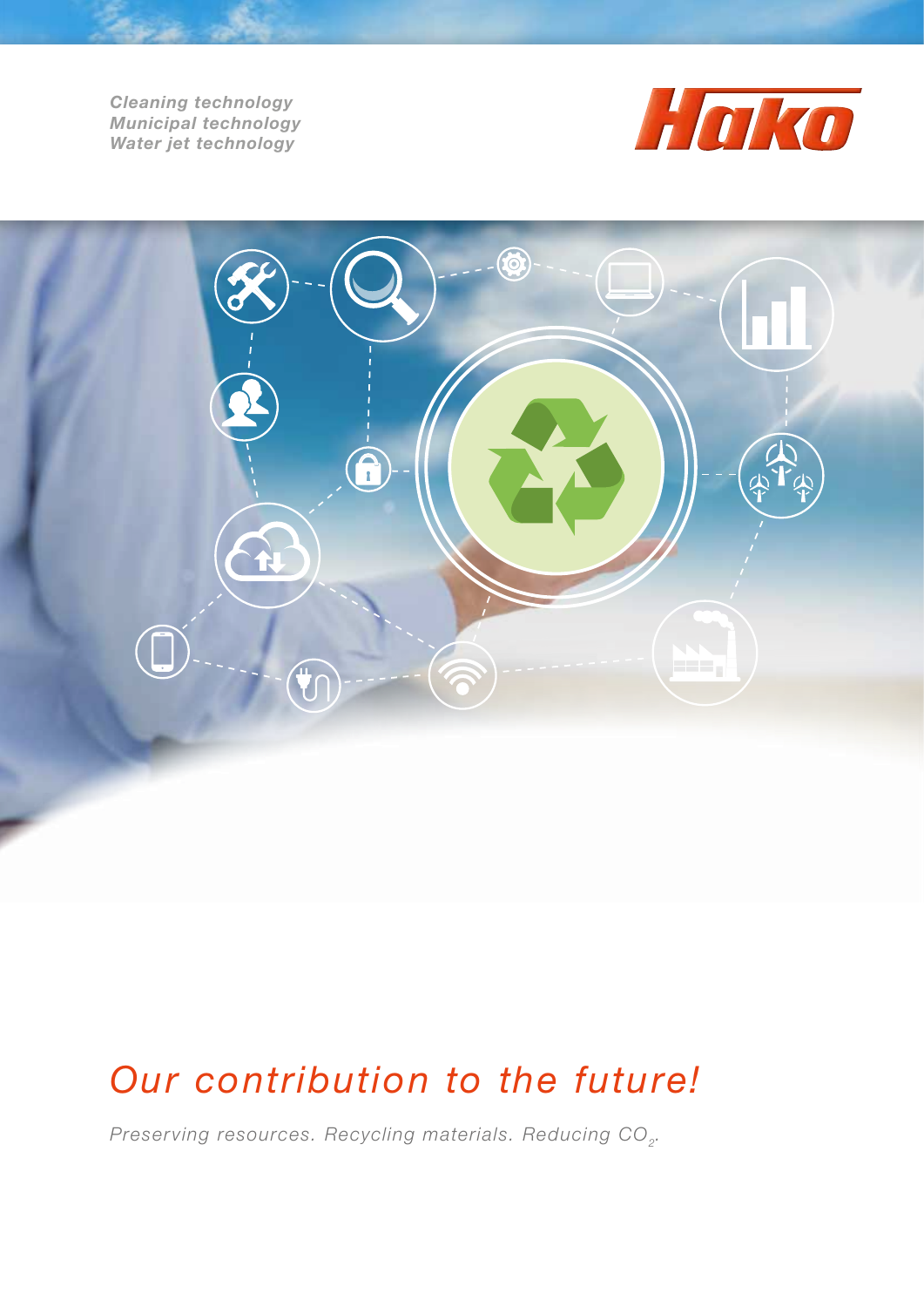*Cleaning technology Municipal technology Water jet technology*





## *Our contribution to the future!*

*Preserving resources. Recycling materials. Reducing CO<sub>2</sub>.*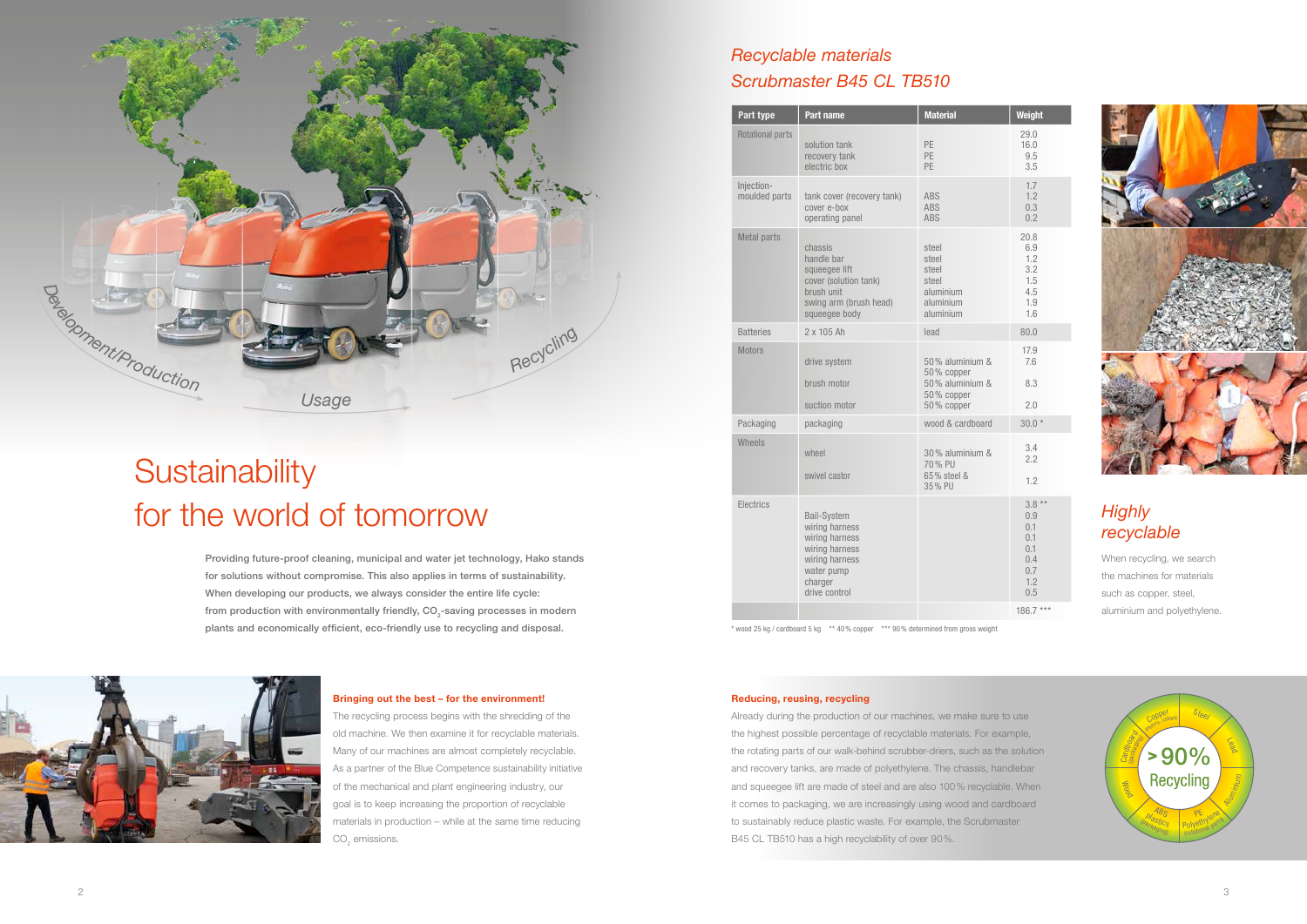



# **Sustainability** for the world of tomorrow

| Part type                   | Part name                                                                                                                            | <b>Material</b>                                                              | Weight                                                         |
|-----------------------------|--------------------------------------------------------------------------------------------------------------------------------------|------------------------------------------------------------------------------|----------------------------------------------------------------|
| <b>Rotational parts</b>     | solution tank<br>recovery tank<br>electric box                                                                                       | PE<br>PE<br>PF                                                               |                                                                |
| Injection-<br>moulded parts | ABS<br>tank cover (recovery tank)<br>cover e-box<br>ABS<br><b>ABS</b><br>operating panel                                             |                                                                              | 1.7<br>1.2<br>0.3<br>0.2                                       |
| <b>Metal parts</b>          | chassis<br>handle bar<br>squeegee lift<br>cover (solution tank)<br>brush unit<br>swing arm (brush head)<br>squeegee body             | steel<br>steel<br>steel<br>steel<br>aluminium<br>aluminium<br>aluminium      | 20.8<br>6.9<br>1.2<br>3.2<br>1.5<br>4.5<br>1.9<br>1.6          |
| <b>Batteries</b>            | 2 x 105 Ah                                                                                                                           | lead                                                                         | 80.0                                                           |
| <b>Motors</b>               | drive system<br>brush motor<br>suction motor                                                                                         | 50% aluminium &<br>50% copper<br>50% aluminium &<br>50% copper<br>50% copper | 17.9<br>7.6<br>8.3<br>2.0                                      |
| Packaging                   | packaging                                                                                                                            | wood & cardboard                                                             | $30.0*$                                                        |
| Wheels                      | wheel<br>swivel castor                                                                                                               | 30% aluminium &<br>70% PU<br>65% steel &<br>35% PU                           | 3.4<br>2.2<br>1.2                                              |
| Electrics                   | <b>Bail-System</b><br>wiring harness<br>wiring harness<br>wiring harness<br>wiring harness<br>water pump<br>charger<br>drive control |                                                                              | $3.8*$<br>0.9<br>0.1<br>0.1<br>0.1<br>0.4<br>0.7<br>1.2<br>0.5 |
|                             |                                                                                                                                      |                                                                              | $186.7*$                                                       |

|                  | Weight                                                          |  |
|------------------|-----------------------------------------------------------------|--|
|                  | 29.0<br>16.0<br>9.5<br>3.5                                      |  |
|                  | 1.7<br>1.2<br>0.3<br>0.2                                        |  |
|                  | 20.8<br>6.9<br>1.2<br>3.2<br>1.5<br>4.5<br>1.9<br>1.6           |  |
|                  | 80.0                                                            |  |
| )<br>X<br>)<br>X | 17.9<br>7.6<br>8.3<br>2.0                                       |  |
| d                | $30.0*$                                                         |  |
| )<br>X           | 3.4<br>2.2<br>1.2                                               |  |
|                  | 3.8<br>0.9<br>$0.1$<br>$0.1$<br>0.1<br>0.4<br>0.7<br>1.2<br>0.5 |  |
|                  | 186.7                                                           |  |



The recycling process begins with the shredding of the old machine. We then examine it for recyclable materials. Many of our machines are almost completely recyclable. As a partner of the Blue Competence sustainability initiative of the mechanical and plant engineering industry, our goal is to keep increasing the proportion of recyclable materials in production – while at the same time reducing  $\mathrm{CO}_2$  emissions.

\* wood 25 kg / cardboard 5 kg \*\* 40% copper \*\*\* 90% determined from gross weight

Providing future-proof cleaning, municipal and water jet technology, Hako stands for solutions without compromise. This also applies in terms of sustainability. When developing our products, we always consider the entire life cycle: from production with environmentally friendly,  $\mathsf{CO}_2$ -saving processes in modern plants and economically efficient, eco-friendly use to recycling and disposal.



### Bringing out the best – for the environment!

#### Reducing, reusing, recycling

Already during the production of our machines, we make sure to use the highest possible percentage of recyclable materials. For example, the rotating parts of our walk-behind scrubber-driers, such as the solution and recovery tanks, are made of polyethylene. The chassis, handlebar and squeegee lift are made of steel and are also 100% recyclable. When it comes to packaging, we are increasingly using wood and cardboard to sustainably reduce plastic waste. For example, the Scrubmaster B45 CL TB510 has a high recyclability of over 90%.

### *Recyclable materials Scrubmaster B45 CL TB510*

When recycling, we search the machines for materials such as copper, steel, aluminium and polyethylene.

### *Highly recyclable*